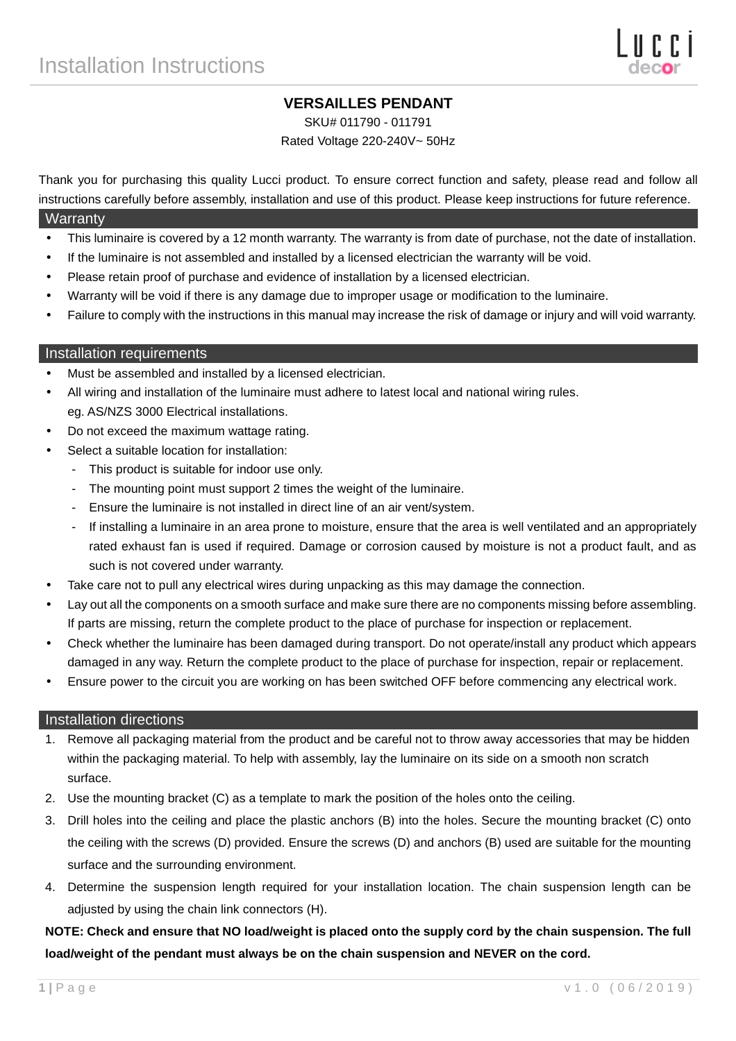# **VERSAILLES PENDANT**

SKU# 011790 - 011791

Rated Voltage 220-240V~ 50Hz

Thank you for purchasing this quality Lucci product. To ensure correct function and safety, please read and follow all instructions carefully before assembly, installation and use of this product. Please keep instructions for future reference.

### **Warranty**

- This luminaire is covered by a 12 month warranty. The warranty is from date of purchase, not the date of installation.
- If the luminaire is not assembled and installed by a licensed electrician the warranty will be void.
- Please retain proof of purchase and evidence of installation by a licensed electrician.
- Warranty will be void if there is any damage due to improper usage or modification to the luminaire.
- Failure to comply with the instructions in this manual may increase the risk of damage or injury and will void warranty.

### Installation requirements

- Must be assembled and installed by a licensed electrician.
- All wiring and installation of the luminaire must adhere to latest local and national wiring rules. eg. AS/NZS 3000 Electrical installations.
- Do not exceed the maximum wattage rating.
- Select a suitable location for installation:
	- This product is suitable for indoor use only.
	- The mounting point must support 2 times the weight of the luminaire.
	- Ensure the luminaire is not installed in direct line of an air vent/system.
	- If installing a luminaire in an area prone to moisture, ensure that the area is well ventilated and an appropriately rated exhaust fan is used if required. Damage or corrosion caused by moisture is not a product fault, and as such is not covered under warranty.
- Take care not to pull any electrical wires during unpacking as this may damage the connection.
- Lay out all the components on a smooth surface and make sure there are no components missing before assembling. If parts are missing, return the complete product to the place of purchase for inspection or replacement.
- Check whether the luminaire has been damaged during transport. Do not operate/install any product which appears damaged in any way. Return the complete product to the place of purchase for inspection, repair or replacement.
- Ensure power to the circuit you are working on has been switched OFF before commencing any electrical work.

#### Installation directions

- 1. Remove all packaging material from the product and be careful not to throw away accessories that may be hidden within the packaging material. To help with assembly, lay the luminaire on its side on a smooth non scratch surface.
- 2. Use the mounting bracket (C) as a template to mark the position of the holes onto the ceiling.
- 3. Drill holes into the ceiling and place the plastic anchors (B) into the holes. Secure the mounting bracket (C) onto the ceiling with the screws (D) provided. Ensure the screws (D) and anchors (B) used are suitable for the mounting surface and the surrounding environment.
- 4. Determine the suspension length required for your installation location. The chain suspension length can be adjusted by using the chain link connectors (H).

# **NOTE: Check and ensure that NO load/weight is placed onto the supply cord by the chain suspension. The full load/weight of the pendant must always be on the chain suspension and NEVER on the cord.**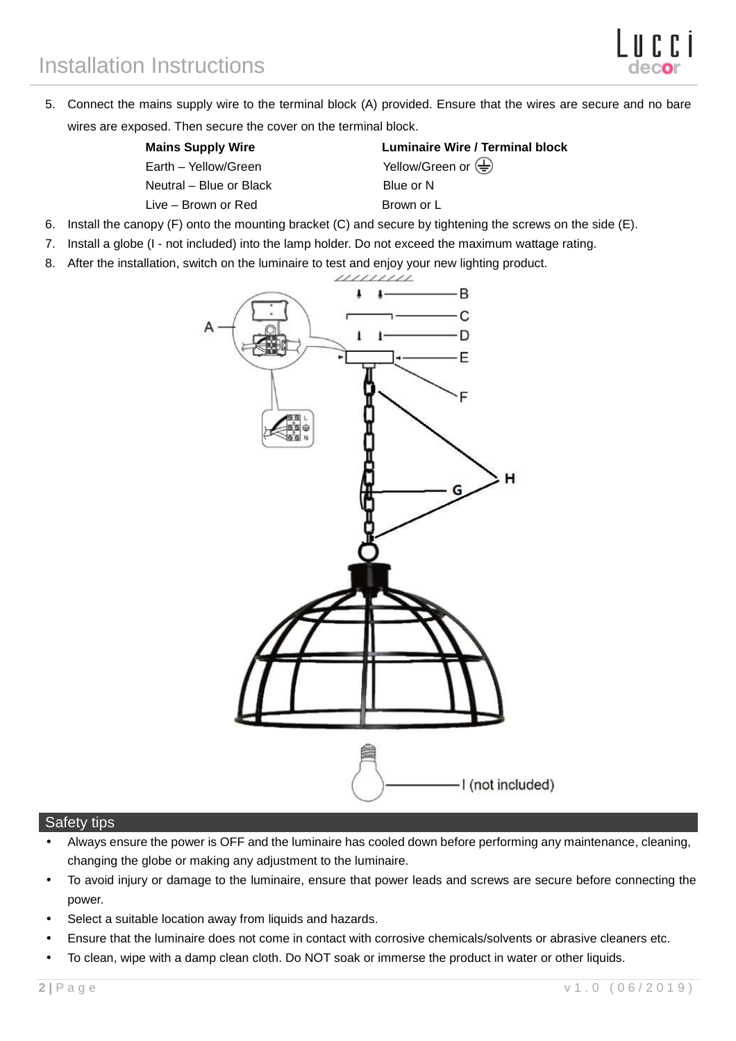5. Connect the mains supply wire to the terminal block (A) provided. Ensure that the wires are secure and no bare wires are exposed. Then secure the cover on the terminal block.

| <b>Mains Supply Wire</b> |  |  |
|--------------------------|--|--|
| Earth - Yellow/Green     |  |  |
| Neutral - Blue or Black  |  |  |
| Live – Brown or Red      |  |  |

**Luminaire Wire / Terminal block** Yellow/Green or  $\left(\frac{\Gamma}{n}\right)$ Blue or N Brown or L

- 6. Install the canopy (F) onto the mounting bracket (C) and secure by tightening the screws on the side (E).
- 7. Install a globe (I not included) into the lamp holder. Do not exceed the maximum wattage rating.
- 8. After the installation, switch on the luminaire to test and enjoy your new lighting product.



## Safety tips

- Always ensure the power is OFF and the luminaire has cooled down before performing any maintenance, cleaning, changing the globe or making any adjustment to the luminaire.
- To avoid injury or damage to the luminaire, ensure that power leads and screws are secure before connecting the power.
- Select a suitable location away from liquids and hazards.
- Ensure that the luminaire does not come in contact with corrosive chemicals/solvents or abrasive cleaners etc.
- To clean, wipe with a damp clean cloth. Do NOT soak or immerse the product in water or other liquids.